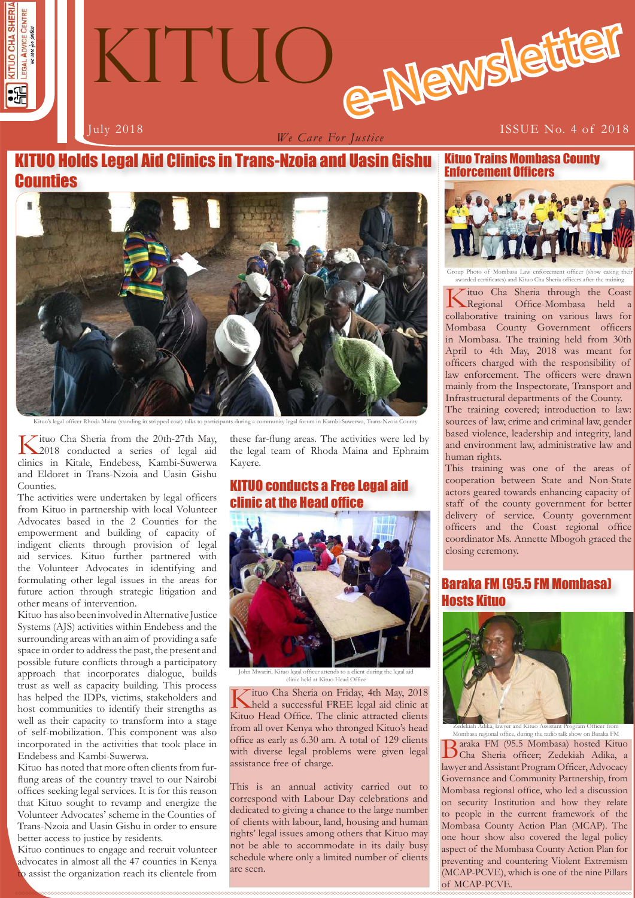



*We Care For Justice*

# KITUO Holds Legal Aid Clinics in Trans-Nzoia and Uasin Gishu **Counties**



officer Rhoda Maina (standing in stripped coat) to participants during a community legal  $\alpha$ 

Kituo Cha Sheria from the 20th-27th May, 2018 conducted a series of legal aid clinics in Kitale, Endebess, Kambi-Suwerwa and Eldoret in Trans-Nzoia and Uasin Gishu Counties.

The activities were undertaken by legal officers from Kituo in partnership with local Volunteer Advocates based in the 2 Counties for the empowerment and building of capacity of indigent clients through provision of legal aid services. Kituo further partnered with the Volunteer Advocates in identifying and formulating other legal issues in the areas for future action through strategic litigation and other means of intervention.

Kituo has also been involved in Alternative Justice Systems (AJS) activities within Endebess and the surrounding areas with an aim of providing a safe space in order to address the past, the present and possible future conflicts through a participatory approach that incorporates dialogue, builds trust as well as capacity building. This process has helped the IDPs, victims, stakeholders and host communities to identify their strengths as well as their capacity to transform into a stage of self-mobilization. This component was also incorporated in the activities that took place in Endebess and Kambi-Suwerwa.

Kituo has noted that more often clients from furflung areas of the country travel to our Nairobi offices seeking legal services. It is for this reason that Kituo sought to revamp and energize the Volunteer Advocates' scheme in the Counties of Trans-Nzoia and Uasin Gishu in order to ensure better access to justice by residents.

Kituo continues to engage and recruit volunteer advocates in almost all the 47 counties in Kenya to assist the organization reach its clientele from these far-flung areas. The activities were led by the legal team of Rhoda Maina and Ephraim Kayere.

## KITUO conducts a Free Legal aid clinic at the Head office



John Mwariri, Kituo legal officer attends to a client during the legal aid clinic held at Kituo Head Office

 $\overline{\mathcal{F}}$ ituo Cha Sheria on Friday, 4th May, 2018 held a successful FREE legal aid clinic at Kituo Head Office. The clinic attracted clients from all over Kenya who thronged Kituo's head office as early as 6.30 am. A total of 129 clients with diverse legal problems were given legal assistance free of charge.

This is an annual activity carried out to correspond with Labour Day celebrations and dedicated to giving a chance to the large number of clients with labour, land, housing and human rights' legal issues among others that Kituo may not be able to accommodate in its daily busy schedule where only a limited number of clients are seen.

Kituo Trains Mombasa County Enforcement Officers



Group Photo of Mombasa Law enforcement officer (show casing their awarded certificates) and Kituo Cha Sheria officers after the training

Kituo Cha Sheria through the Coast Regional Office-Mombasa held a collaborative training on various laws for Mombasa County Government officers in Mombasa. The training held from 30th April to 4th May, 2018 was meant for officers charged with the responsibility of law enforcement. The officers were drawn mainly from the Inspectorate, Transport and Infrastructural departments of the County.

The training covered; introduction to law: sources of law, crime and criminal law, gender based violence, leadership and integrity, land and environment law, administrative law and human rights.

This training was one of the areas of cooperation between State and Non-State actors geared towards enhancing capacity of staff of the county government for better delivery of service. County government officers and the Coast regional office coordinator Ms. Annette Mbogoh graced the closing ceremony.

## Baraka FM (95.5 FM Mombasa) Hosts Kituo



**1 1** (MCAP-PCVE), which is one of the nine Pillars Baraka FM (95.5 Mombasa) hosted Kituo Cha Sheria officer; Zedekiah Adika, a lawyer and Assistant Program Officer, Advocacy Governance and Community Partnership, from Mombasa regional office, who led a discussion on security Institution and how they relate to people in the current framework of the Mombasa County Action Plan (MCAP). The one hour show also covered the legal policy aspect of the Mombasa County Action Plan for preventing and countering Violent Extremism of MCAP-PCVE. Zedekiah Adika, lawyer and Kituo Assistant Program Officer from Mombasa regional office, during the radio talk show on Baraka FM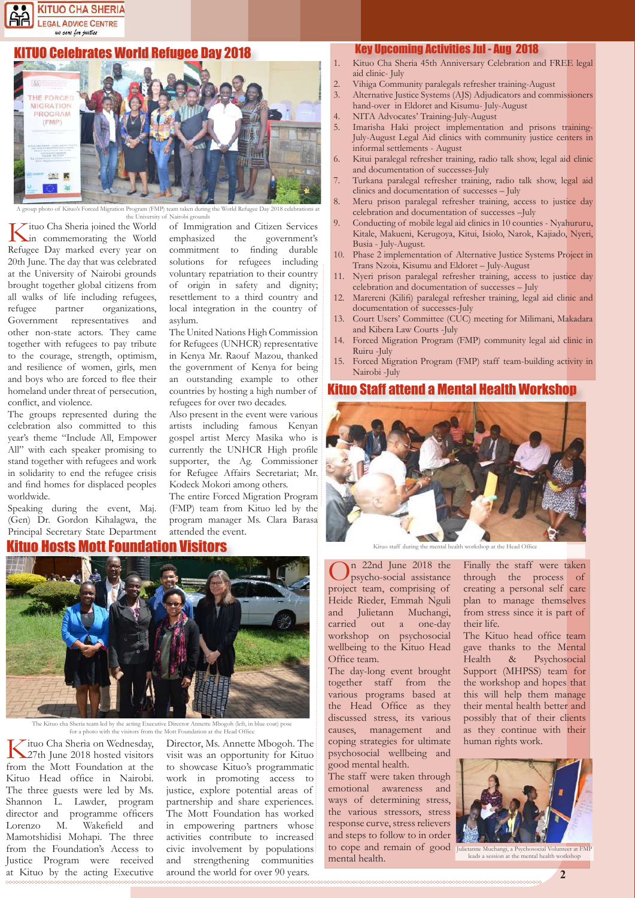#### **KITUO CHA SHERIA LEGAL ADVICE CENTRE** we care for justice

#### **UO Celebrates World Refugee Day 2018**



m taken during th the University of Nairobi grounds

Kituo Cha Sheria joined the World in commemorating the World Refugee Day marked every year on 20th June. The day that was celebrated at the University of Nairobi grounds brought together global citizens from all walks of life including refugees, refugee partner organizations, Government representatives and other non-state actors. They came together with refugees to pay tribute to the courage, strength, optimism, and resilience of women, girls, men and boys who are forced to flee their homeland under threat of persecution, conflict, and violence.

The groups represented during the celebration also committed to this year's theme "Include All, Empower All" with each speaker promising to stand together with refugees and work in solidarity to end the refugee crisis and find homes for displaced peoples worldwide.

Speaking during the event, Maj. (Gen) Dr. Gordon Kihalagwa, the Principal Secretary State Department

#### uo Hosts Mott Foundation Visitors



The Kituo cha Sheria team led by the acting Executive Director Annette Mbogoh (left, in blue coat) pose for a photo with the visitors from the Mott Foundation at the Head Office

Kituo Cha Sheria on Wednesday,<br>27th June 2018 hosted visitors from the Mott Foundation at the Kituo Head office in Nairobi. The three guests were led by Ms. Shannon L. Lawder, program director and programme officers Lorenzo M. Wakefield and Mamotshidisi Mohapi. The three from the Foundation's Access to Justice Program were received at Kituo by the acting Executive of Immigration and Citizen Services emphasized the government's commitment to finding durable solutions for refugees including voluntary repatriation to their country of origin in safety and dignity; resettlement to a third country and local integration in the country of asylum.

The United Nations High Commission for Refugees (UNHCR) representative in Kenya Mr. Raouf Mazou, thanked the government of Kenya for being an outstanding example to other countries by hosting a high number of refugees for over two decades.

Also present in the event were various artists including famous Kenyan gospel artist Mercy Masika who is currently the UNHCR High profile supporter, the Ag. Commissioner for Refugee Affairs Secretariat; Mr. Kodeck Mokori among others.

The entire Forced Migration Program (FMP) team from Kituo led by the program manager Ms. Clara Barasa attended the event.

Director, Ms. Annette Mbogoh. The visit was an opportunity for Kituo to showcase Kituo's programmatic work in promoting access to justice, explore potential areas of partnership and share experiences. The Mott Foundation has worked in empowering partners whose activities contribute to increased civic involvement by populations and strengthening communities around the world for over 90 years.

#### Key Upcoming Activities Jul - Aug 2018

- 1. Kituo Cha Sheria 45th Anniversary Celebration and FREE legal aid clinic- July
- 2. Vihiga Community paralegals refresher training-August<br>3. Alternative Justice Systems (AIS) Adjudicators and comp
- Alternative Justice Systems (AJS) Adjudicators and commissioners hand-over in Eldoret and Kisumu- July-August
- 4. NITA Advocates' Training-July-August
- Imarisha Haki project implementation and prisons training-July-August Legal Aid clinics with community justice centers in informal settlements - August
- 6. Kitui paralegal refresher training, radio talk show, legal aid clinic and documentation of successes-July
- 7. Turkana paralegal refresher training, radio talk show, legal aid clinics and documentation of successes – July
- Meru prison paralegal refresher training, access to justice day celebration and documentation of successes –July
- 9. Conducting of mobile legal aid clinics in 10 counties Nyahururu, Kitale, Makueni, Kerugoya, Kitui, Isiolo, Narok, Kajiado, Nyeri, Busia - July-August.
- 10. Phase 2 implementation of Alternative Justice Systems Project in Trans Nzoia, Kisumu and Eldoret – July-August
- 11. Nyeri prison paralegal refresher training, access to justice day celebration and documentation of successes – July
- Marereni (Kilifi) paralegal refresher training, legal aid clinic and documentation of successes-July
- 13. Court Users' Committee (CUC) meeting for Milimani, Makadara and Kibera Law Courts -July
- Forced Migration Program (FMP) community legal aid clinic in Ruiru -July
- 15. Forced Migration Program (FMP) staff team-building activity in Nairobi -July

#### Kituo Staff attend a Mental Health Workshop



Kituo staff during the mental health workshop at the Head Office

On 22nd June 2018 the psycho-social assistance project team, comprising of Heide Rieder, Emmah Nguli and Julietann Muchangi, carried out a one-day workshop on psychosocial wellbeing to the Kituo Head Office team.

The day-long event brought together staff from the various programs based at the Head Office as they discussed stress, its various causes, management and coping strategies for ultimate psychosocial wellbeing and good mental health.

The staff were taken through emotional awareness and ways of determining stress, the various stressors, stress response curve, stress relievers and steps to follow to in order to cope and remain of good Juliet mental health.

Finally the staff were taken through the process of creating a personal self care plan to manage themselves from stress since it is part of their life.

The Kituo head office team gave thanks to the Mental Health & Psychosocial Support (MHPSS) team for the workshop and hopes that this will help them manage their mental health better and possibly that of their clients as they continue with their human rights work.



Julietanne Muchangi, a Psychosocial Volunteer at FMP leads a session at the mental health workshop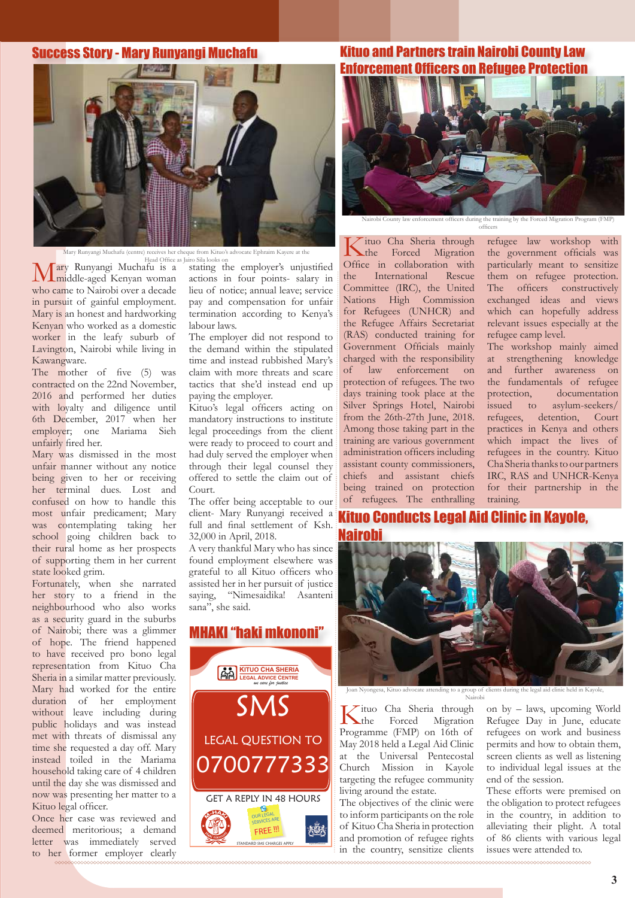#### Success Story - Mary Runyangi Muchafu



Mary Runyangi Muchafu (centre) receives her cheque from Kituo's advocate Ephraim Kayere at the

Head Office as Jairo Sila looks<br> **Fary Runyangi Muchafu is a** stating Mary Runyangi Muchafu is a middle-aged Kenyan woman who came to Nairobi over a decade in pursuit of gainful employment. Mary is an honest and hardworking Kenyan who worked as a domestic worker in the leafy suburb of Lavington, Nairobi while living in Kawangware.

The mother of five (5) was contracted on the 22nd November, 2016 and performed her duties with loyalty and diligence until 6th December, 2017 when her employer; one Mariama Sieh unfairly fired her.

Mary was dismissed in the most unfair manner without any notice being given to her or receiving her terminal dues. Lost and confused on how to handle this most unfair predicament; Mary was contemplating taking her school going children back to their rural home as her prospects of supporting them in her current state looked grim.

Fortunately, when she narrated her story to a friend in the neighbourhood who also works as a security guard in the suburbs of Nairobi; there was a glimmer of hope. The friend happened to have received pro bono legal representation from Kituo Cha Sheria in a similar matter previously. Mary had worked for the entire duration of her employment without leave including during public holidays and was instead met with threats of dismissal any time she requested a day off. Mary instead toiled in the Mariama household taking care of 4 children until the day she was dismissed and now was presenting her matter to a Kituo legal officer.

Once her case was reviewed and deemed meritorious; a demand letter was immediately served to her former employer clearly stating the employer's unjustified actions in four points- salary in lieu of notice; annual leave; service pay and compensation for unfair termination according to Kenya's labour laws.

The employer did not respond to the demand within the stipulated time and instead rubbished Mary's claim with more threats and scare tactics that she'd instead end up paying the employer.

Kituo's legal officers acting on mandatory instructions to institute legal proceedings from the client were ready to proceed to court and had duly served the employer when through their legal counsel they offered to settle the claim out of Court.

The offer being acceptable to our client- Mary Runyangi received a full and final settlement of Ksh. 32,000 in April, 2018.

A very thankful Mary who has since found employment elsewhere was grateful to all Kituo officers who assisted her in her pursuit of justice saying, "Nimesaidika! Asanteni sana", she said.

# Joan Nyongesa, Kituo advocate attending to a group of clients during the legal aid clinic held in Kayole,<br>
Nairobi<br>
SMS Sheria through on by – laws, upcoming W<br>
the Eorced Migration Refugee Day in June edu LEGAL QUESTION TO '00777333 **KITUO CHA SHERIA LEGAL ADVICE CENTRE** *we care for justice* MHAKI "haki mkononi"



### Kituo and Partners train Nairobi County Law Enforcement Officers on Refugee Protection



enforcement officers during the training by the Forced Migration Program (FMP) officers

Kituo Cha Sheria through the Forced Migration Office in collaboration with<br>the International Rescue the International Committee (IRC), the United Nations High Commission for Refugees (UNHCR) and the Refugee Affairs Secretariat (RAS) conducted training for Government Officials mainly charged with the responsibility of law enforcement on protection of refugees. The two days training took place at the Silver Springs Hotel, Nairobi from the 26th-27th June, 2018. Among those taking part in the training are various government administration officers including assistant county commissioners, chiefs and assistant chiefs being trained on protection of refugees. The enthralling

refugee law workshop with the government officials was particularly meant to sensitize them on refugee protection. The officers constructively exchanged ideas and views which can hopefully address relevant issues especially at the refugee camp level.

The workshop mainly aimed at strengthening knowledge and further awareness on the fundamentals of refugee<br>protection. documentation documentation issued to asylum-seekers/ refugees, detention, Court practices in Kenya and others which impact the lives of refugees in the country. Kituo Cha Sheria thanks to our partners IRC, RAS and UNHCR-Kenya for their partnership in the training.

# Kituo Conducts Legal Aid Clinic in Kayole,



Kituo Cha Sheria through<br>Forced Migration Forced Migration Programme (FMP) on 16th of May 2018 held a Legal Aid Clinic at the Universal Pentecostal Church Mission in Kayole targeting the refugee community living around the estate.

The objectives of the clinic were to inform participants on the role of Kituo Cha Sheria in protection and promotion of refugee rights in the country, sensitize clients  on by – laws, upcoming World Refugee Day in June, educate refugees on work and business permits and how to obtain them, screen clients as well as listening to individual legal issues at the end of the session.

These efforts were premised on the obligation to protect refugees in the country, in addition to alleviating their plight. A total of 86 clients with various legal issues were attended to.